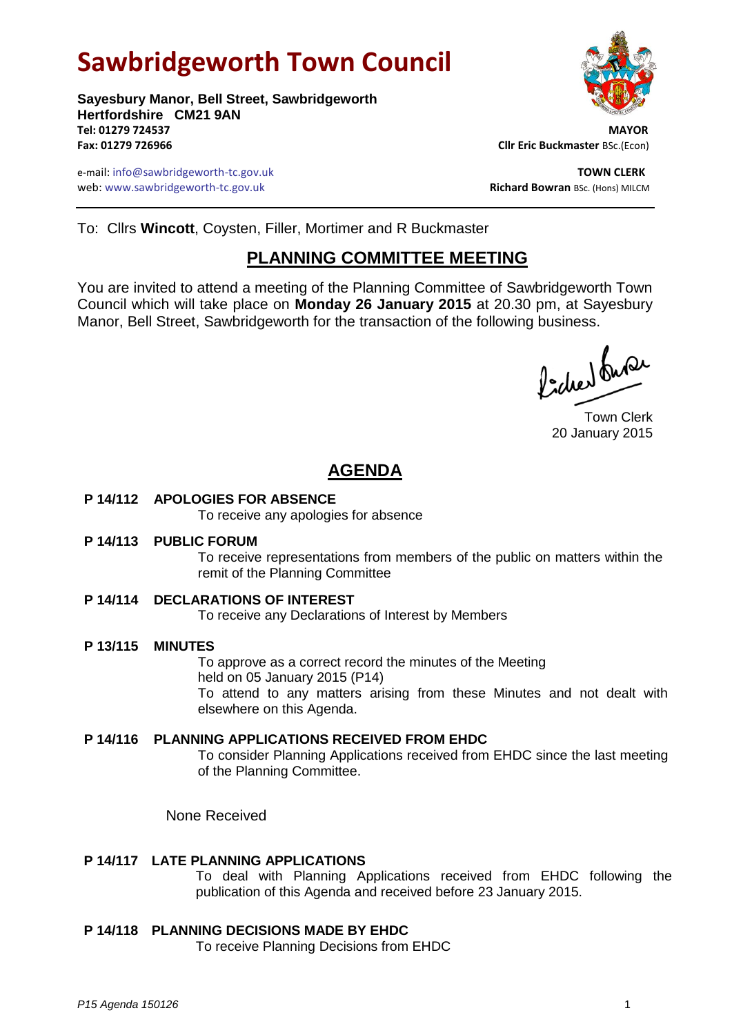# **Sawbridgeworth Town Council**



e-mail: info@sawbridgeworth-tc.gov.uk **TOWN CLERK** web: www.sawbridgeworth-tc.gov.uk **Richard Bowran** BSc. (Hons) MILCM



To: Cllrs **Wincott**, Coysten, Filler, Mortimer and R Buckmaster

# **PLANNING COMMITTEE MEETING**

You are invited to attend a meeting of the Planning Committee of Sawbridgeworth Town Council which will take place on **Monday 26 January 2015** at 20.30 pm, at Sayesbury Manor, Bell Street, Sawbridgeworth for the transaction of the following business.

Picked Super

Town Clerk 20 January 2015

# **AGENDA**

**P 14/112 APOLOGIES FOR ABSENCE**

To receive any apologies for absence

**P 14/113 PUBLIC FORUM**

To receive representations from members of the public on matters within the remit of the Planning Committee

**P 14/114 DECLARATIONS OF INTEREST**

To receive any Declarations of Interest by Members

**P 13/115 MINUTES**

To approve as a correct record the minutes of the Meeting held on 05 January 2015 (P14) To attend to any matters arising from these Minutes and not dealt with elsewhere on this Agenda.

**P 14/116 PLANNING APPLICATIONS RECEIVED FROM EHDC** To consider Planning Applications received from EHDC since the last meeting of the Planning Committee.

None Received

# **P 14/117 LATE PLANNING APPLICATIONS**

To deal with Planning Applications received from EHDC following the publication of this Agenda and received before 23 January 2015.

**P 14/118 PLANNING DECISIONS MADE BY EHDC**

To receive Planning Decisions from EHDC